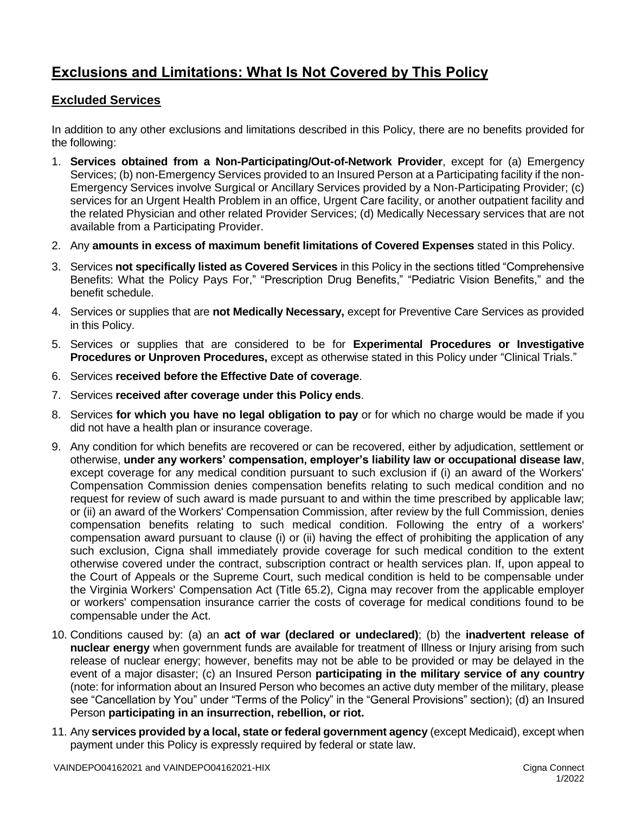## **Exclusions and Limitations: What Is Not Covered by This Policy**

## **Excluded Services**

In addition to any other exclusions and limitations described in this Policy, there are no benefits provided for the following:

- 1. **Services obtained from a Non-Participating/Out-of-Network Provider**, except for (a) Emergency Services; (b) non-Emergency Services provided to an Insured Person at a Participating facility if the non-Emergency Services involve Surgical or Ancillary Services provided by a Non-Participating Provider; (c) services for an Urgent Health Problem in an office, Urgent Care facility, or another outpatient facility and the related Physician and other related Provider Services; (d) Medically Necessary services that are not available from a Participating Provider.
- 2. Any **amounts in excess of maximum benefit limitations of Covered Expenses** stated in this Policy.
- 3. Services **not specifically listed as Covered Services** in this Policy in the sections titled "Comprehensive Benefits: What the Policy Pays For," "Prescription Drug Benefits," "Pediatric Vision Benefits," and the benefit schedule.
- 4. Services or supplies that are **not Medically Necessary,** except for Preventive Care Services as provided in this Policy.
- 5. Services or supplies that are considered to be for **Experimental Procedures or Investigative Procedures or Unproven Procedures,** except as otherwise stated in this Policy under "Clinical Trials."
- 6. Services **received before the Effective Date of coverage**.
- 7. Services **received after coverage under this Policy ends**.
- 8. Services **for which you have no legal obligation to pay** or for which no charge would be made if you did not have a health plan or insurance coverage.
- 9. Any condition for which benefits are recovered or can be recovered, either by adjudication, settlement or otherwise, **under any workers' compensation, employer's liability law or occupational disease law**, except coverage for any medical condition pursuant to such exclusion if (i) an award of the Workers' Compensation Commission denies compensation benefits relating to such medical condition and no request for review of such award is made pursuant to and within the time prescribed by applicable law; or (ii) an award of the Workers' Compensation Commission, after review by the full Commission, denies compensation benefits relating to such medical condition. Following the entry of a workers' compensation award pursuant to clause (i) or (ii) having the effect of prohibiting the application of any such exclusion, Cigna shall immediately provide coverage for such medical condition to the extent otherwise covered under the contract, subscription contract or health services plan. If, upon appeal to the Court of Appeals or the Supreme Court, such medical condition is held to be compensable under the Virginia Workers' Compensation Act (Title 65.2), Cigna may recover from the applicable employer or workers' compensation insurance carrier the costs of coverage for medical conditions found to be compensable under the Act.
- 10. Conditions caused by: (a) an **act of war (declared or undeclared)**; (b) the **inadvertent release of nuclear energy** when government funds are available for treatment of Illness or Injury arising from such release of nuclear energy; however, benefits may not be able to be provided or may be delayed in the event of a major disaster; (c) an Insured Person **participating in the military service of any country** (note: for information about an Insured Person who becomes an active duty member of the military, please see "Cancellation by You" under "Terms of the Policy" in the "General Provisions" section); (d) an Insured Person **participating in an insurrection, rebellion, or riot.**
- 11. Any **services provided by a local, state or federal government agency** (except Medicaid), except when payment under this Policy is expressly required by federal or state law.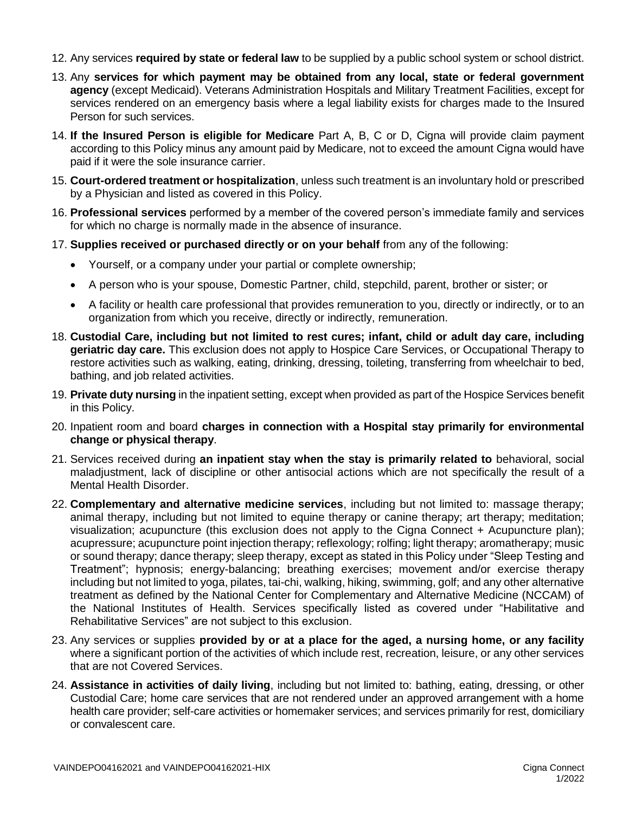- 12. Any services **required by state or federal law** to be supplied by a public school system or school district.
- 13. Any **services for which payment may be obtained from any local, state or federal government agency** (except Medicaid). Veterans Administration Hospitals and Military Treatment Facilities, except for services rendered on an emergency basis where a legal liability exists for charges made to the Insured Person for such services.
- 14. **If the Insured Person is eligible for Medicare** Part A, B, C or D, Cigna will provide claim payment according to this Policy minus any amount paid by Medicare, not to exceed the amount Cigna would have paid if it were the sole insurance carrier.
- 15. **Court-ordered treatment or hospitalization**, unless such treatment is an involuntary hold or prescribed by a Physician and listed as covered in this Policy.
- 16. **Professional services** performed by a member of the covered person's immediate family and services for which no charge is normally made in the absence of insurance.
- 17. **Supplies received or purchased directly or on your behalf** from any of the following:
	- Yourself, or a company under your partial or complete ownership;
	- A person who is your spouse, Domestic Partner, child, stepchild, parent, brother or sister; or
	- A facility or health care professional that provides remuneration to you, directly or indirectly, or to an organization from which you receive, directly or indirectly, remuneration.
- 18. **Custodial Care, including but not limited to rest cures; infant, child or adult day care, including geriatric day care.** This exclusion does not apply to Hospice Care Services, or Occupational Therapy to restore activities such as walking, eating, drinking, dressing, toileting, transferring from wheelchair to bed, bathing, and job related activities.
- 19. **Private duty nursing** in the inpatient setting, except when provided as part of the Hospice Services benefit in this Policy.
- 20. Inpatient room and board **charges in connection with a Hospital stay primarily for environmental change or physical therapy**.
- 21. Services received during **an inpatient stay when the stay is primarily related to** behavioral, social maladjustment, lack of discipline or other antisocial actions which are not specifically the result of a Mental Health Disorder.
- 22. **Complementary and alternative medicine services**, including but not limited to: massage therapy; animal therapy, including but not limited to equine therapy or canine therapy; art therapy; meditation; visualization; acupuncture (this exclusion does not apply to the Cigna Connect + Acupuncture plan); acupressure; acupuncture point injection therapy; reflexology; rolfing; light therapy; aromatherapy; music or sound therapy; dance therapy; sleep therapy, except as stated in this Policy under "Sleep Testing and Treatment"; hypnosis; energy-balancing; breathing exercises; movement and/or exercise therapy including but not limited to yoga, pilates, tai-chi, walking, hiking, swimming, golf; and any other alternative treatment as defined by the National Center for Complementary and Alternative Medicine (NCCAM) of the National Institutes of Health. Services specifically listed as covered under "Habilitative and Rehabilitative Services" are not subject to this exclusion.
- 23. Any services or supplies **provided by or at a place for the aged, a nursing home, or any facility** where a significant portion of the activities of which include rest, recreation, leisure, or any other services that are not Covered Services.
- 24. **Assistance in activities of daily living**, including but not limited to: bathing, eating, dressing, or other Custodial Care; home care services that are not rendered under an approved arrangement with a home health care provider; self-care activities or homemaker services; and services primarily for rest, domiciliary or convalescent care.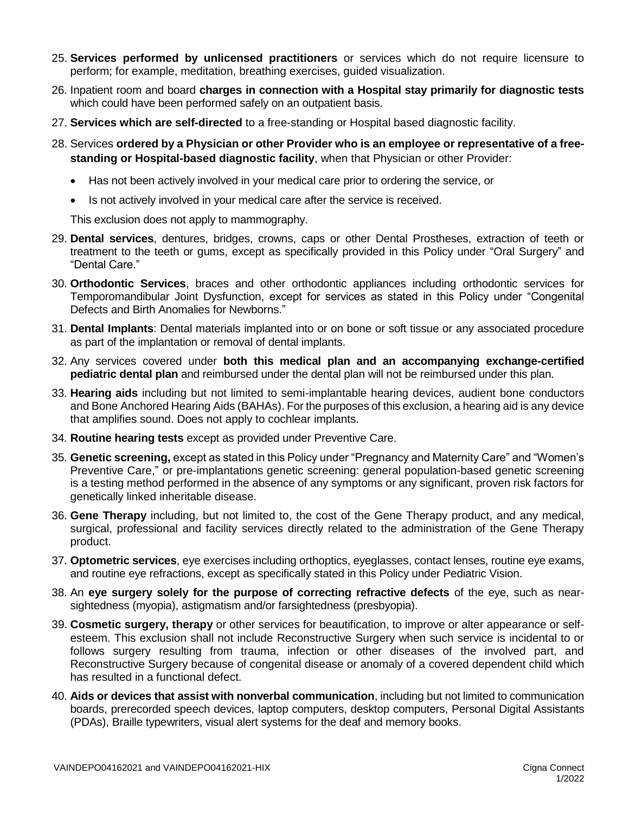- 25. **Services performed by unlicensed practitioners** or services which do not require licensure to perform; for example, meditation, breathing exercises, guided visualization.
- 26. Inpatient room and board **charges in connection with a Hospital stay primarily for diagnostic tests** which could have been performed safely on an outpatient basis.
- 27. **Services which are self-directed** to a free-standing or Hospital based diagnostic facility.
- 28. Services **ordered by a Physician or other Provider who is an employee or representative of a freestanding or Hospital-based diagnostic facility**, when that Physician or other Provider:
	- Has not been actively involved in your medical care prior to ordering the service, or
	- Is not actively involved in your medical care after the service is received.

This exclusion does not apply to mammography.

- 29. **Dental services**, dentures, bridges, crowns, caps or other Dental Prostheses, extraction of teeth or treatment to the teeth or gums, except as specifically provided in this Policy under "Oral Surgery" and "Dental Care."
- 30. **Orthodontic Services**, braces and other orthodontic appliances including orthodontic services for Temporomandibular Joint Dysfunction, except for services as stated in this Policy under "Congenital Defects and Birth Anomalies for Newborns."
- 31. **Dental Implants**: Dental materials implanted into or on bone or soft tissue or any associated procedure as part of the implantation or removal of dental implants.
- 32. Any services covered under **both this medical plan and an accompanying exchange-certified pediatric dental plan** and reimbursed under the dental plan will not be reimbursed under this plan.
- 33. **Hearing aids** including but not limited to semi-implantable hearing devices, audient bone conductors and Bone Anchored Hearing Aids (BAHAs). For the purposes of this exclusion, a hearing aid is any device that amplifies sound. Does not apply to cochlear implants.
- 34. **Routine hearing tests** except as provided under Preventive Care.
- 35. **Genetic screening,** except as stated in this Policy under "Pregnancy and Maternity Care" and "Women's Preventive Care," or pre-implantations genetic screening: general population-based genetic screening is a testing method performed in the absence of any symptoms or any significant, proven risk factors for genetically linked inheritable disease.
- 36. **Gene Therapy** including, but not limited to, the cost of the Gene Therapy product, and any medical, surgical, professional and facility services directly related to the administration of the Gene Therapy product.
- 37. **Optometric services**, eye exercises including orthoptics, eyeglasses, contact lenses, routine eye exams, and routine eye refractions, except as specifically stated in this Policy under Pediatric Vision.
- 38. An **eye surgery solely for the purpose of correcting refractive defects** of the eye, such as nearsightedness (myopia), astigmatism and/or farsightedness (presbyopia).
- 39. **Cosmetic surgery, therapy** or other services for beautification, to improve or alter appearance or selfesteem. This exclusion shall not include Reconstructive Surgery when such service is incidental to or follows surgery resulting from trauma, infection or other diseases of the involved part, and Reconstructive Surgery because of congenital disease or anomaly of a covered dependent child which has resulted in a functional defect.
- 40. **Aids or devices that assist with nonverbal communication**, including but not limited to communication boards, prerecorded speech devices, laptop computers, desktop computers, Personal Digital Assistants (PDAs), Braille typewriters, visual alert systems for the deaf and memory books.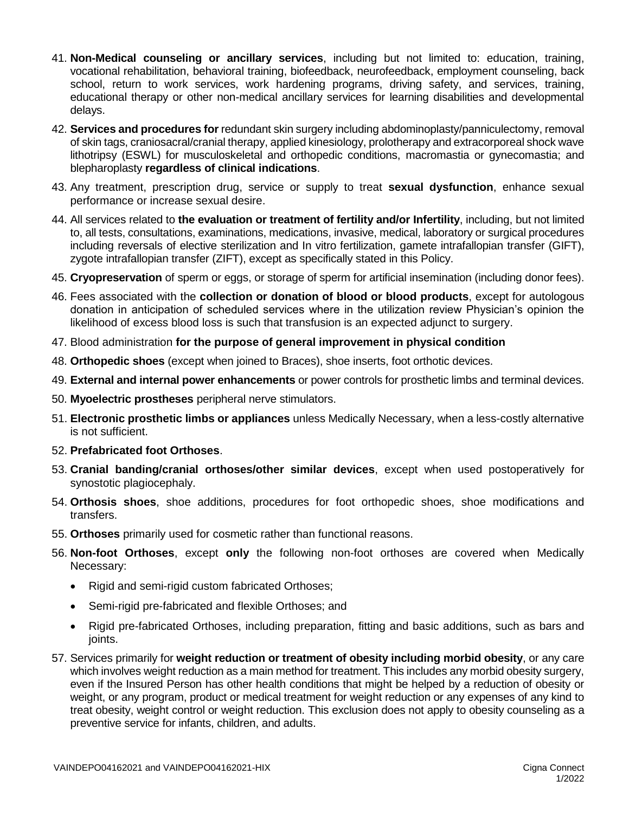- 41. **Non-Medical counseling or ancillary services**, including but not limited to: education, training, vocational rehabilitation, behavioral training, biofeedback, neurofeedback, employment counseling, back school, return to work services, work hardening programs, driving safety, and services, training, educational therapy or other non-medical ancillary services for learning disabilities and developmental delays.
- 42. **Services and procedures for** redundant skin surgery including abdominoplasty/panniculectomy, removal of skin tags, craniosacral/cranial therapy, applied kinesiology, prolotherapy and extracorporeal shock wave lithotripsy (ESWL) for musculoskeletal and orthopedic conditions, macromastia or gynecomastia; and blepharoplasty **regardless of clinical indications**.
- 43. Any treatment, prescription drug, service or supply to treat **sexual dysfunction**, enhance sexual performance or increase sexual desire.
- 44. All services related to **the evaluation or treatment of fertility and/or Infertility**, including, but not limited to, all tests, consultations, examinations, medications, invasive, medical, laboratory or surgical procedures including reversals of elective sterilization and In vitro fertilization, gamete intrafallopian transfer (GIFT), zygote intrafallopian transfer (ZIFT), except as specifically stated in this Policy.
- 45. **Cryopreservation** of sperm or eggs, or storage of sperm for artificial insemination (including donor fees).
- 46. Fees associated with the **collection or donation of blood or blood products**, except for autologous donation in anticipation of scheduled services where in the utilization review Physician's opinion the likelihood of excess blood loss is such that transfusion is an expected adjunct to surgery.
- 47. Blood administration **for the purpose of general improvement in physical condition**
- 48. **Orthopedic shoes** (except when joined to Braces), shoe inserts, foot orthotic devices.
- 49. **External and internal power enhancements** or power controls for prosthetic limbs and terminal devices.
- 50. **Myoelectric prostheses** peripheral nerve stimulators.
- 51. **Electronic prosthetic limbs or appliances** unless Medically Necessary, when a less-costly alternative is not sufficient.
- 52. **Prefabricated foot Orthoses**.
- 53. **Cranial banding/cranial orthoses/other similar devices**, except when used postoperatively for synostotic plagiocephaly.
- 54. **Orthosis shoes**, shoe additions, procedures for foot orthopedic shoes, shoe modifications and transfers.
- 55. **Orthoses** primarily used for cosmetic rather than functional reasons.
- 56. **Non-foot Orthoses**, except **only** the following non-foot orthoses are covered when Medically Necessary:
	- Rigid and semi-rigid custom fabricated Orthoses;
	- Semi-rigid pre-fabricated and flexible Orthoses; and
	- Rigid pre-fabricated Orthoses, including preparation, fitting and basic additions, such as bars and joints.
- 57. Services primarily for **weight reduction or treatment of obesity including morbid obesity**, or any care which involves weight reduction as a main method for treatment. This includes any morbid obesity surgery, even if the Insured Person has other health conditions that might be helped by a reduction of obesity or weight, or any program, product or medical treatment for weight reduction or any expenses of any kind to treat obesity, weight control or weight reduction. This exclusion does not apply to obesity counseling as a preventive service for infants, children, and adults.